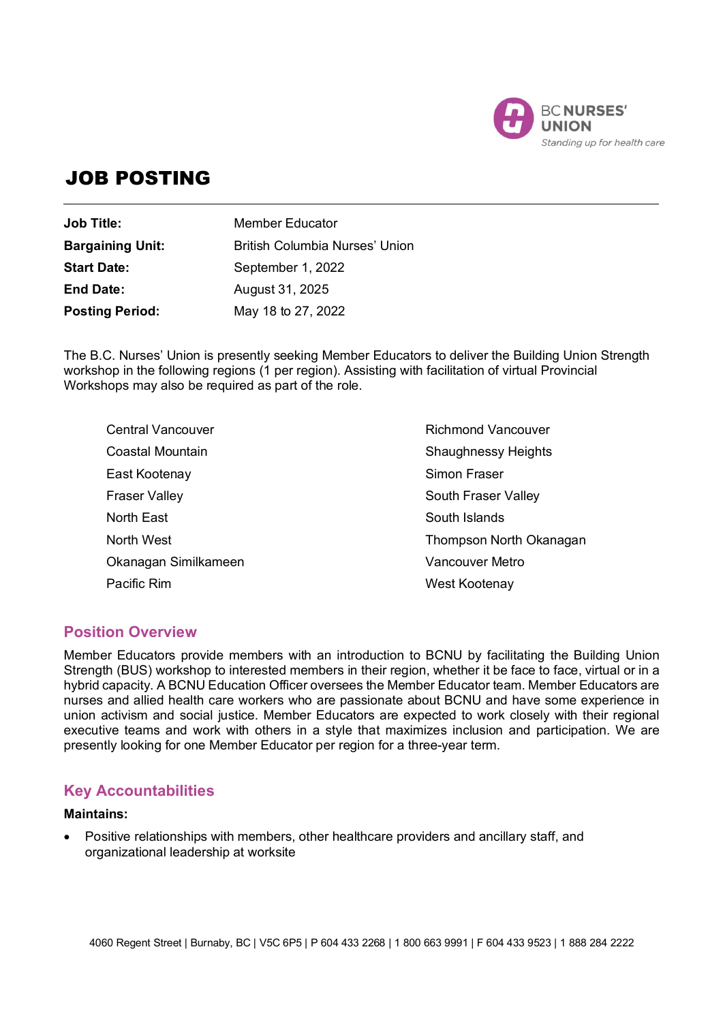

# JOB POSTING

| <b>Job Title:</b>       | Member Educator                       |
|-------------------------|---------------------------------------|
| <b>Bargaining Unit:</b> | <b>British Columbia Nurses' Union</b> |
| <b>Start Date:</b>      | September 1, 2022                     |
| <b>End Date:</b>        | August 31, 2025                       |
| <b>Posting Period:</b>  | May 18 to 27, 2022                    |

The B.C. Nurses' Union is presently seeking Member Educators to deliver the Building Union Strength workshop in the following regions (1 per region). Assisting with facilitation of virtual Provincial Workshops may also be required as part of the role.

| <b>Central Vancouver</b> | <b>Richmond Vancouver</b>  |
|--------------------------|----------------------------|
| Coastal Mountain         | <b>Shaughnessy Heights</b> |
| East Kootenay            | Simon Fraser               |
| <b>Fraser Valley</b>     | South Fraser Valley        |
| North East               | South Islands              |
| North West               | Thompson North Okanagan    |
| Okanagan Similkameen     | <b>Vancouver Metro</b>     |
| Pacific Rim              | West Kootenay              |

# **Position Overview**

Member Educators provide members with an introduction to BCNU by facilitating the Building Union Strength (BUS) workshop to interested members in their region, whether it be face to face, virtual or in a hybrid capacity. A BCNU Education Officer oversees the Member Educator team. Member Educators are nurses and allied health care workers who are passionate about BCNU and have some experience in union activism and social justice. Member Educators are expected to work closely with their regional executive teams and work with others in a style that maximizes inclusion and participation. We are presently looking for one Member Educator per region for a three-year term.

# **Key Accountabilities**

#### **Maintains:**

 Positive relationships with members, other healthcare providers and ancillary staff, and organizational leadership at worksite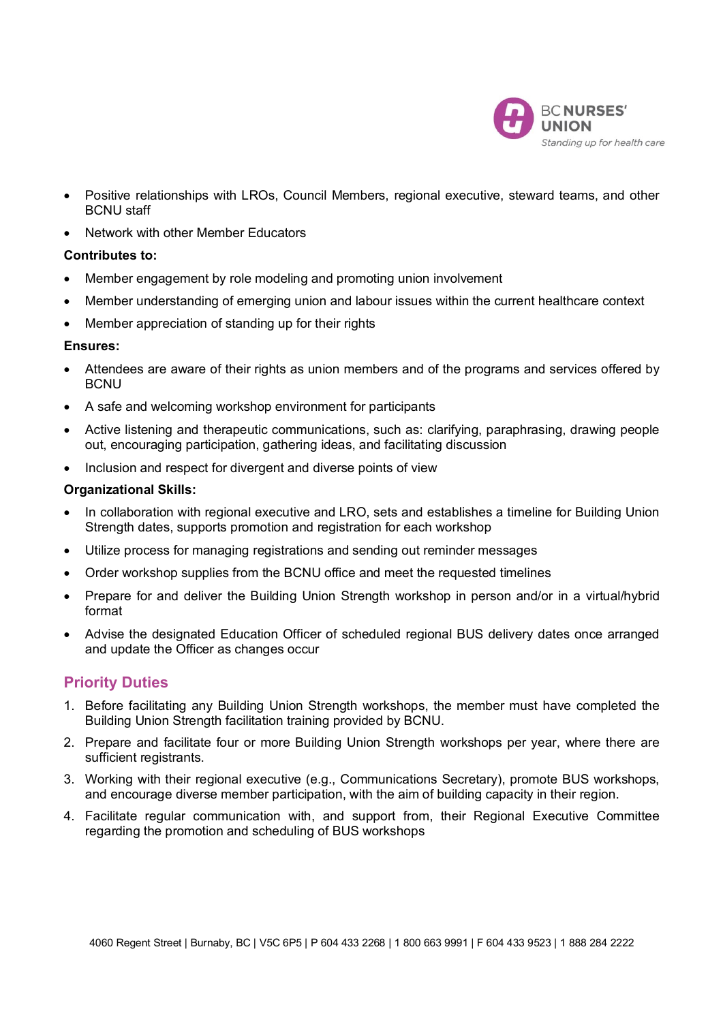

- Positive relationships with LROs, Council Members, regional executive, steward teams, and other BCNU staff
- Network with other Member Educators

#### **Contributes to:**

- Member engagement by role modeling and promoting union involvement
- Member understanding of emerging union and labour issues within the current healthcare context
- Member appreciation of standing up for their rights

#### **Ensures:**

- Attendees are aware of their rights as union members and of the programs and services offered by **BCNU**
- A safe and welcoming workshop environment for participants
- Active listening and therapeutic communications, such as: clarifying, paraphrasing, drawing people out, encouraging participation, gathering ideas, and facilitating discussion
- Inclusion and respect for divergent and diverse points of view

#### **Organizational Skills:**

- In collaboration with regional executive and LRO, sets and establishes a timeline for Building Union Strength dates, supports promotion and registration for each workshop
- Utilize process for managing registrations and sending out reminder messages
- Order workshop supplies from the BCNU office and meet the requested timelines
- Prepare for and deliver the Building Union Strength workshop in person and/or in a virtual/hybrid format
- Advise the designated Education Officer of scheduled regional BUS delivery dates once arranged and update the Officer as changes occur

## **Priority Duties**

- 1. Before facilitating any Building Union Strength workshops, the member must have completed the Building Union Strength facilitation training provided by BCNU.
- 2. Prepare and facilitate four or more Building Union Strength workshops per year, where there are sufficient registrants.
- 3. Working with their regional executive (e.g., Communications Secretary), promote BUS workshops, and encourage diverse member participation, with the aim of building capacity in their region.
- 4. Facilitate regular communication with, and support from, their Regional Executive Committee regarding the promotion and scheduling of BUS workshops